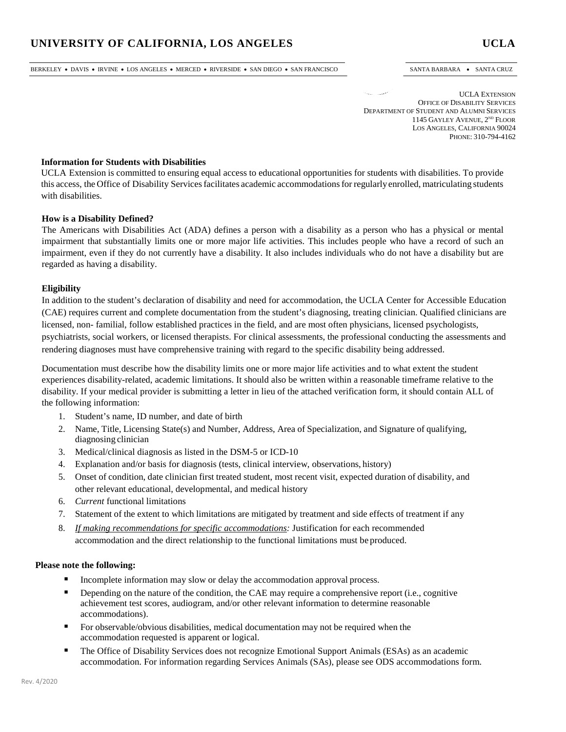BERKELEY • DAVIS • IRVINE • LOS ANGELES • MERCED • RIVERSIDE • SAN DIEGO • SAN FRANCISCO SANTA BARBARA • SANTA CRUZ

UCLA EXTENSION OFFICE OF DISABILITY SERVICES DEPARTMENT OF STUDENT AND ALUMNI SERVICES 1145 GAYLEY AVENUE, 2<sup>ND</sup> FLOOR LOS ANGELES, CALIFORNIA 90024 PHONE: 310-794-4162

## **Information for Students with Disabilities**

UCLA Extension is committed to ensuring equal access to educational opportunities for students with disabilities. To provide this access, the Office of Disability Servicesfacilitates academic accommodationsfor regularly enrolled, matriculating students with disabilities.

### **How is a Disability Defined?**

The Americans with Disabilities Act (ADA) defines a person with a disability as a person who has a physical or mental impairment that substantially limits one or more major life activities. This includes people who have a record of such an impairment, even if they do not currently have a disability. It also includes individuals who do not have a disability but are regarded as having a disability.

## **Eligibility**

In addition to the student's declaration of disability and need for accommodation, the UCLA Center for Accessible Education (CAE) requires current and complete documentation from the student's diagnosing, treating clinician. Qualified clinicians are licensed, non- familial, follow established practices in the field, and are most often physicians, licensed psychologists, psychiatrists, social workers, or licensed therapists. For clinical assessments, the professional conducting the assessments and rendering diagnoses must have comprehensive training with regard to the specific disability being addressed.

Documentation must describe how the disability limits one or more major life activities and to what extent the student experiences disability-related, academic limitations. It should also be written within a reasonable timeframe relative to the disability. If your medical provider is submitting a letter in lieu of the attached verification form, it should contain ALL of the following information:

- 1. Student's name, ID number, and date of birth
- 2. Name, Title, Licensing State(s) and Number, Address, Area of Specialization, and Signature of qualifying, diagnosing clinician
- 3. Medical/clinical diagnosis as listed in the DSM-5 or ICD-10
- 4. Explanation and/or basis for diagnosis (tests, clinical interview, observations, history)
- 5. Onset of condition, date clinician first treated student, most recent visit, expected duration of disability, and other relevant educational, developmental, and medical history
- 6. *Current* functional limitations
- 7. Statement of the extent to which limitations are mitigated by treatment and side effects of treatment if any
- 8. *If making recommendations for specific accommodations:* Justification for each recommended accommodation and the direct relationship to the functional limitations must be produced.

### **Please note the following:**

- Incomplete information may slow or delay the accommodation approval process.
- Depending on the nature of the condition, the CAE may require a comprehensive report (i.e., cognitive achievement test scores, audiogram, and/or other relevant information to determine reasonable accommodations).
- For observable/obvious disabilities, medical documentation may not be required when the accommodation requested is apparent or logical.
- **The Office of Disability Services does not recognize Emotional Support Animals (ESAs) as an academic** accommodation. For information regarding Services Animals (SAs), please see ODS accommodations form.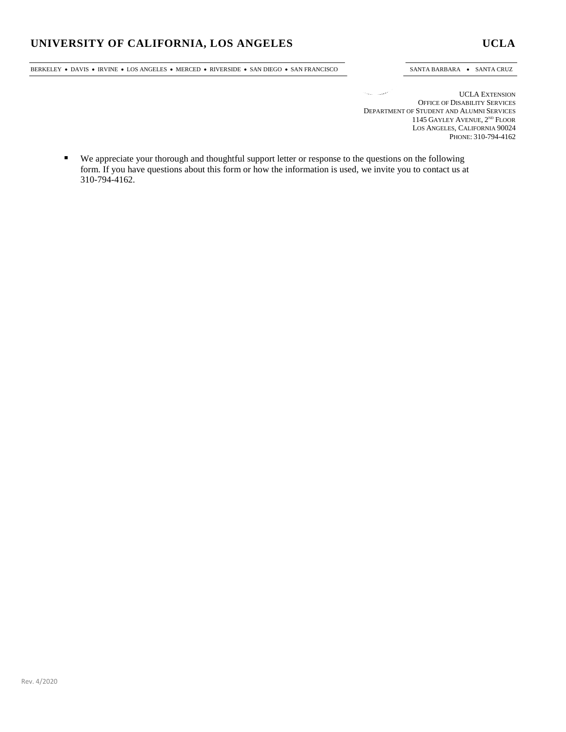BERKELEY • DAVIS • IRVINE • LOS ANGELES • MERCED • RIVERSIDE • SAN DIEGO • SAN FRANCISCO SANTA BARBARA • SANTA CRUZ

 $\mathcal{O}_{\mathcal{M}_{\mathcal{M}}(\mathcal{C})}$  . The set of UCLA EXTENSION OFFICE OF DISABILITY SERVICES DEPARTMENT OF STUDENT AND ALUMNI SERVICES 1145 GAYLEY AVENUE, 2<sup>ND</sup> FLOOR LOS ANGELES, CALIFORNIA 90024 PHONE: 310-794-4162

 We appreciate your thorough and thoughtful support letter or response to the questions on the following form. If you have questions about this form or how the information is used, we invite you to contact us at 310-794-4162.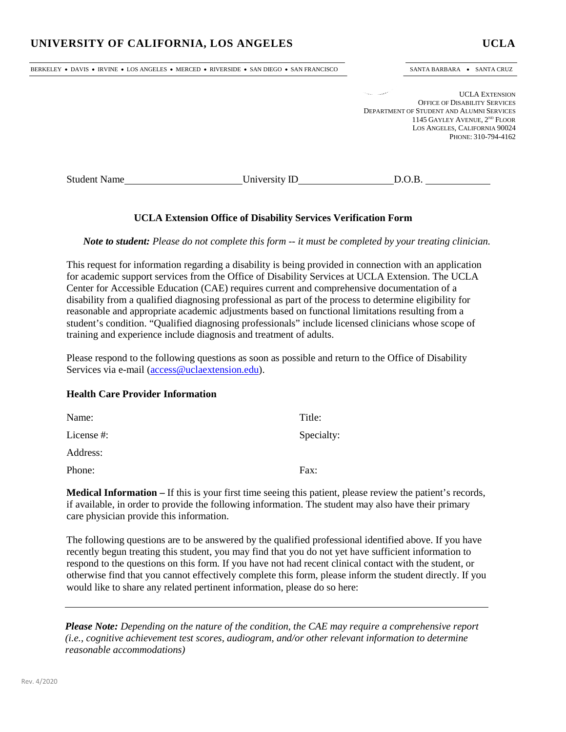BERKELEY • DAVIS • IRVINE • LOS ANGELES • MERCED • RIVERSIDE • SAN DIEGO • SAN FRANCISCO SANTA BARBARA • SANTA CRUZ

UCLA EXTENSION OFFICE OF DISABILITY SERVICES DEPARTMENT OF STUDENT AND ALUMNI SERVICES 1145 GAYLEY AVENUE, 2<sup>ND</sup> FLOOR LOS ANGELES, CALIFORNIA 90024 PHONE: 310-794-4162

Student Name University ID D.O.B.

# **UCLA Extension Office of Disability Services Verification Form**

*Note to student: Please do not complete this form -- it must be completed by your treating clinician.*

This request for information regarding a disability is being provided in connection with an application for academic support services from the Office of Disability Services at UCLA Extension. The UCLA Center for Accessible Education (CAE) requires current and comprehensive documentation of a disability from a qualified diagnosing professional as part of the process to determine eligibility for reasonable and appropriate academic adjustments based on functional limitations resulting from a student's condition. "Qualified diagnosing professionals" include licensed clinicians whose scope of training and experience include diagnosis and treatment of adults.

Please respond to the following questions as soon as possible and return to the Office of Disability Services via e-mail [\(access@uclaextension.edu\)](mailto:access@uclaextension.edu).

# **Health Care Provider Information**

| Name:      | Title:     |
|------------|------------|
| License #: | Specialty: |
| Address:   |            |
| Phone:     | Fax:       |
|            |            |

**Medical Information –** If this is your first time seeing this patient, please review the patient's records, if available, in order to provide the following information. The student may also have their primary care physician provide this information.

The following questions are to be answered by the qualified professional identified above. If you have recently begun treating this student, you may find that you do not yet have sufficient information to respond to the questions on this form. If you have not had recent clinical contact with the student, or otherwise find that you cannot effectively complete this form, please inform the student directly. If you would like to share any related pertinent information, please do so here:

*Please Note: Depending on the nature of the condition, the CAE may require a comprehensive report (i.e., cognitive achievement test scores, audiogram, and/or other relevant information to determine reasonable accommodations)*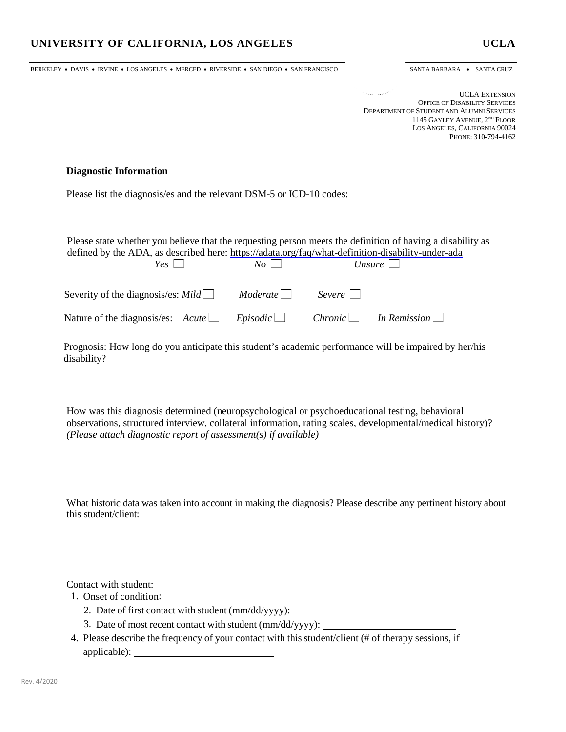BERKELEY • DAVIS • IRVINE • LOS ANGELES • MERCED • RIVERSIDE • SAN DIEGO • SAN FRANCISCO SANTA BARBARA • SANTA CRUZ

UCLA EXTENSION OFFICE OF DISABILITY SERVICES DEPARTMENT OF STUDENT AND ALUMNI SERVICES 1145 GAYLEY AVENUE, 2<sup>ND</sup> FLOOR LOS ANGELES, CALIFORNIA 90024 PHONE: 310-794-4162

## **Diagnostic Information**

Please list the diagnosis/es and the relevant DSM-5 or ICD-10 codes:

Please state whether you believe that the requesting person meets the definition of having a disability as defined by the ADA, as described here:<https://adata.org/faq/what-definition-disability-under-ada><br> $\frac{V_{GS}}{V_{\phi}}$ 

| $Yes \perp$                                                                     | $N_O$ |        | Unsure |
|---------------------------------------------------------------------------------|-------|--------|--------|
| Severity of the diagnosis/es: $\textit{Mild} \_\_\_\$ Moderate                  |       | Severe |        |
| Nature of the diagnosis/es: $Acute$ Episodic Chronic $\Box$ In Remission $\Box$ |       |        |        |

Prognosis: How long do you anticipate this student's academic performance will be impaired by her/his disability?

How was this diagnosis determined (neuropsychological or psychoeducational testing, behavioral observations, structured interview, collateral information, rating scales, developmental/medical history)? *(Please attach diagnostic report of assessment(s) if available)*

What historic data was taken into account in making the diagnosis? Please describe any pertinent history about this student/client:

Contact with student:

- 1. Onset of condition:
	- 2. Date of first contact with student (mm/dd/yyyy):
	- 3. Date of most recent contact with student (mm/dd/yyyy):
- 4. Please describe the frequency of your contact with this student/client (# of therapy sessions, if applicable):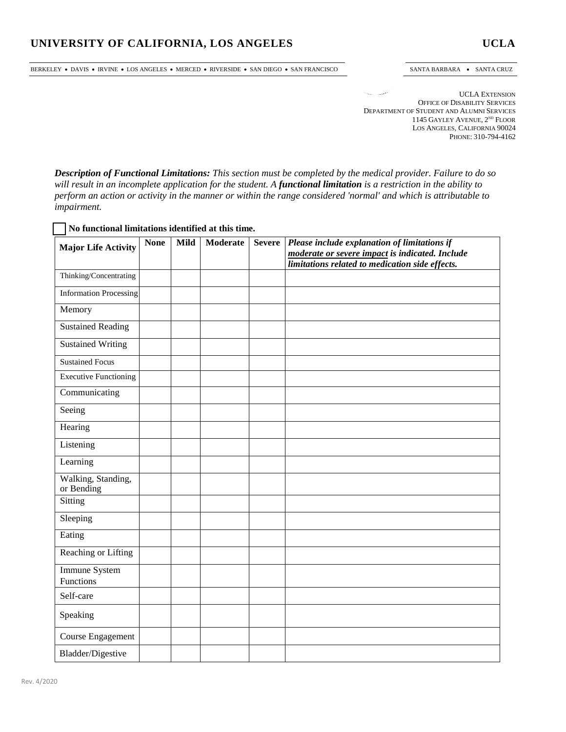BERKELEY • DAVIS • IRVINE • LOS ANGELES • MERCED • RIVERSIDE • SAN DIEGO • SAN FRANCISCO SANTA BARBARA • SANTA CRUZ

UCLA EXTENSION OFFICE OF DISABILITY SERVICES DEPARTMENT OF STUDENT AND ALUMNI SERVICES 1145 GAYLEY AVENUE, 2<sup>ND</sup> FLOOR LOS ANGELES, CALIFORNIA 90024 PHONE: 310-794-4162

*Description of Functional Limitations: This section must be completed by the medical provider. Failure to do so will result in an incomplete application for the student. A functional limitation is a restriction in the ability to perform an action or activity in the manner or within the range considered 'normal' and which is attributable to impairment.*

## **No functional limitations identified at this time.**

| <b>Major Life Activity</b>       | <b>None</b> | <b>Mild</b> | <b>Moderate</b> | <b>Severe</b> | Please include explanation of limitations if                                                       |
|----------------------------------|-------------|-------------|-----------------|---------------|----------------------------------------------------------------------------------------------------|
|                                  |             |             |                 |               | moderate or severe impact is indicated. Include<br>limitations related to medication side effects. |
| Thinking/Concentrating           |             |             |                 |               |                                                                                                    |
| <b>Information Processing</b>    |             |             |                 |               |                                                                                                    |
| Memory                           |             |             |                 |               |                                                                                                    |
| <b>Sustained Reading</b>         |             |             |                 |               |                                                                                                    |
| <b>Sustained Writing</b>         |             |             |                 |               |                                                                                                    |
| <b>Sustained Focus</b>           |             |             |                 |               |                                                                                                    |
| <b>Executive Functioning</b>     |             |             |                 |               |                                                                                                    |
| Communicating                    |             |             |                 |               |                                                                                                    |
| Seeing                           |             |             |                 |               |                                                                                                    |
| Hearing                          |             |             |                 |               |                                                                                                    |
| Listening                        |             |             |                 |               |                                                                                                    |
| Learning                         |             |             |                 |               |                                                                                                    |
| Walking, Standing,<br>or Bending |             |             |                 |               |                                                                                                    |
| Sitting                          |             |             |                 |               |                                                                                                    |
| Sleeping                         |             |             |                 |               |                                                                                                    |
| Eating                           |             |             |                 |               |                                                                                                    |
| <b>Reaching or Lifting</b>       |             |             |                 |               |                                                                                                    |
| Immune System<br>Functions       |             |             |                 |               |                                                                                                    |
| Self-care                        |             |             |                 |               |                                                                                                    |
| Speaking                         |             |             |                 |               |                                                                                                    |
| Course Engagement                |             |             |                 |               |                                                                                                    |
| Bladder/Digestive                |             |             |                 |               |                                                                                                    |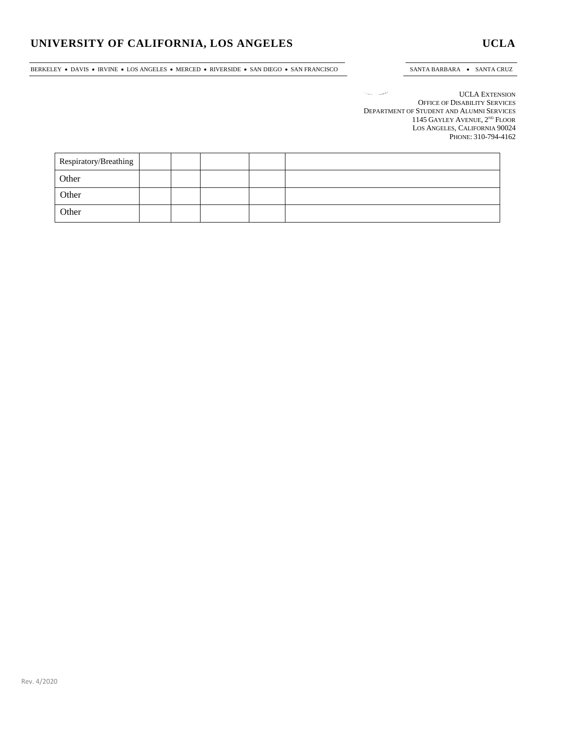BERKELEY • DAVIS • IRVINE • LOS ANGELES • MERCED • RIVERSIDE • SAN DIEGO • SAN FRANCISCO SANTA BARBARA • SANTA CRUZ

UCLA EXTENSION The company OFFICE OF DISABILITY SERVICES DEPARTMENT OF STUDENT AND ALUMNI SERVICES 1145 GAYLEY AVENUE, 2ND FLOOR LOS ANGELES, CALIFORNIA 90024 PHONE: 310-794-4162

| Respiratory/Breathing |  |  |  |
|-----------------------|--|--|--|
| Other                 |  |  |  |
| Other                 |  |  |  |
| Other                 |  |  |  |